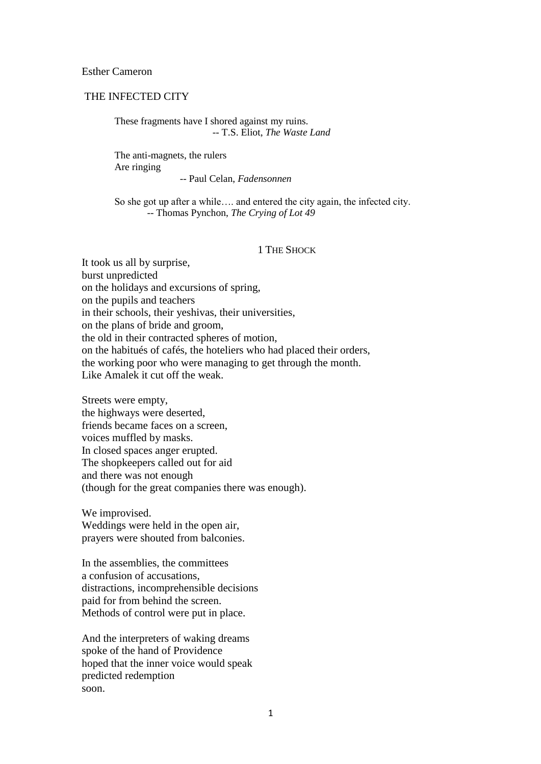Esther Cameron

# THE INFECTED CITY

These fragments have I shored against my ruins. -- T.S. Eliot, *The Waste Land*

The anti-magnets, the rulers Are ringing -- Paul Celan, *Fadensonnen*

So she got up after a while…. and entered the city again, the infected city. -- Thomas Pynchon, *The Crying of Lot 49*

#### 1 THE SHOCK

It took us all by surprise, burst unpredicted on the holidays and excursions of spring, on the pupils and teachers in their schools, their yeshivas, their universities, on the plans of bride and groom, the old in their contracted spheres of motion, on the habitués of cafés, the hoteliers who had placed their orders, the working poor who were managing to get through the month. Like Amalek it cut off the weak.

Streets were empty, the highways were deserted, friends became faces on a screen, voices muffled by masks. In closed spaces anger erupted. The shopkeepers called out for aid and there was not enough (though for the great companies there was enough).

We improvised. Weddings were held in the open air, prayers were shouted from balconies.

In the assemblies, the committees a confusion of accusations, distractions, incomprehensible decisions paid for from behind the screen. Methods of control were put in place.

And the interpreters of waking dreams spoke of the hand of Providence hoped that the inner voice would speak predicted redemption soon.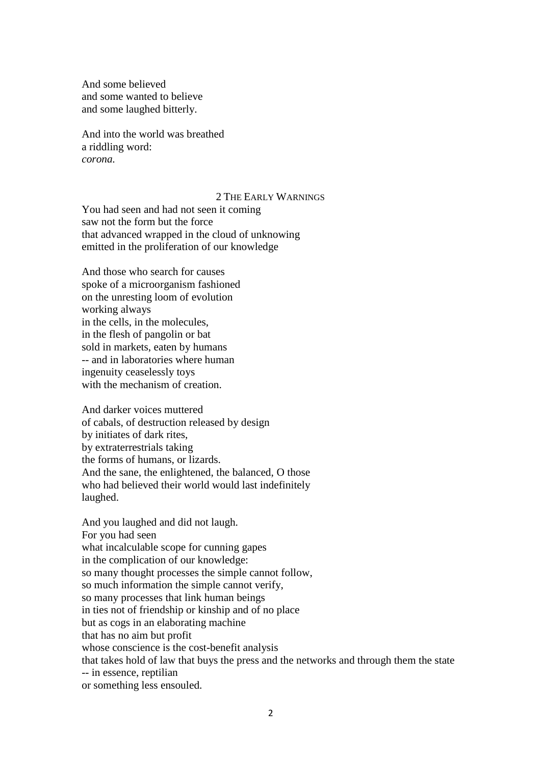And some believed and some wanted to believe and some laughed bitterly.

And into the world was breathed a riddling word: *corona.*

### 2 THE EARLY WARNINGS

You had seen and had not seen it coming saw not the form but the force that advanced wrapped in the cloud of unknowing emitted in the proliferation of our knowledge

And those who search for causes spoke of a microorganism fashioned on the unresting loom of evolution working always in the cells, in the molecules, in the flesh of pangolin or bat sold in markets, eaten by humans -- and in laboratories where human ingenuity ceaselessly toys with the mechanism of creation.

And darker voices muttered of cabals, of destruction released by design by initiates of dark rites, by extraterrestrials taking the forms of humans, or lizards. And the sane, the enlightened, the balanced, O those who had believed their world would last indefinitely laughed.

And you laughed and did not laugh. For you had seen what incalculable scope for cunning gapes in the complication of our knowledge: so many thought processes the simple cannot follow, so much information the simple cannot verify, so many processes that link human beings in ties not of friendship or kinship and of no place but as cogs in an elaborating machine that has no aim but profit whose conscience is the cost-benefit analysis that takes hold of law that buys the press and the networks and through them the state -- in essence, reptilian or something less ensouled.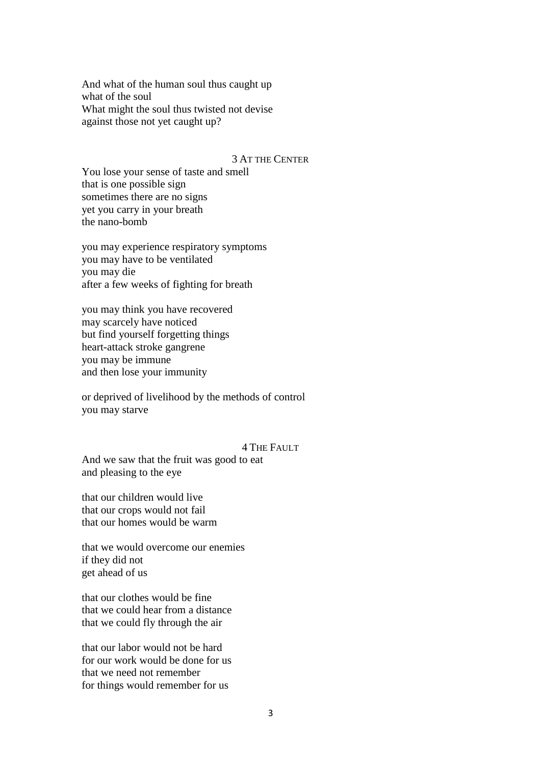And what of the human soul thus caught up what of the soul What might the soul thus twisted not devise against those not yet caught up?

### 3 AT THE CENTER

You lose your sense of taste and smell that is one possible sign sometimes there are no signs yet you carry in your breath the nano-bomb

you may experience respiratory symptoms you may have to be ventilated you may die after a few weeks of fighting for breath

you may think you have recovered may scarcely have noticed but find yourself forgetting things heart-attack stroke gangrene you may be immune and then lose your immunity

or deprived of livelihood by the methods of control you may starve

#### 4 THE FAULT

And we saw that the fruit was good to eat and pleasing to the eye

that our children would live that our crops would not fail that our homes would be warm

that we would overcome our enemies if they did not get ahead of us

that our clothes would be fine that we could hear from a distance that we could fly through the air

that our labor would not be hard for our work would be done for us that we need not remember for things would remember for us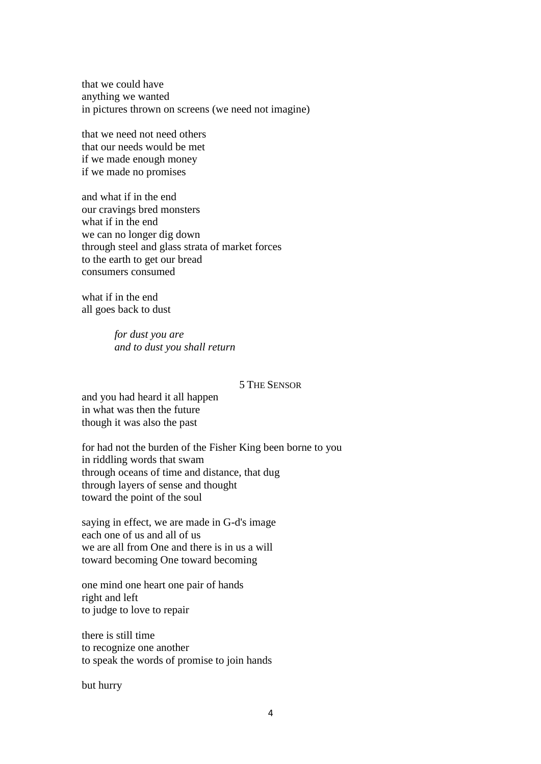that we could have anything we wanted in pictures thrown on screens (we need not imagine)

that we need not need others that our needs would be met if we made enough money if we made no promises

and what if in the end our cravings bred monsters what if in the end we can no longer dig down through steel and glass strata of market forces to the earth to get our bread consumers consumed

what if in the end all goes back to dust

> *for dust you are and to dust you shall return*

### 5 THE SENSOR

and you had heard it all happen in what was then the future though it was also the past

for had not the burden of the Fisher King been borne to you in riddling words that swam through oceans of time and distance, that dug through layers of sense and thought toward the point of the soul

saying in effect, we are made in G-d's image each one of us and all of us we are all from One and there is in us a will toward becoming One toward becoming

one mind one heart one pair of hands right and left to judge to love to repair

there is still time to recognize one another to speak the words of promise to join hands

but hurry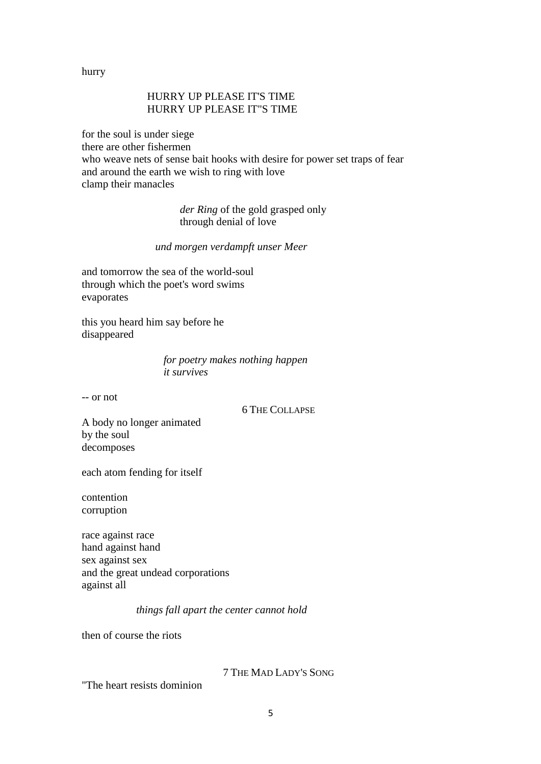hurry

# HURRY UP PLEASE IT'S TIME HURRY UP PLEASE IT"S TIME

for the soul is under siege there are other fishermen who weave nets of sense bait hooks with desire for power set traps of fear and around the earth we wish to ring with love clamp their manacles

> *der Ring* of the gold grasped only through denial of love

### *und morgen verdampft unser Meer*

and tomorrow the sea of the world-soul through which the poet's word swims evaporates

this you heard him say before he disappeared

> *for poetry makes nothing happen it survives*

-- or not

6 THE COLLAPSE

A body no longer animated by the soul decomposes

each atom fending for itself

contention corruption

race against race hand against hand sex against sex and the great undead corporations against all

## *things fall apart the center cannot hold*

then of course the riots

## 7 THE MAD LADY'S SONG

"The heart resists dominion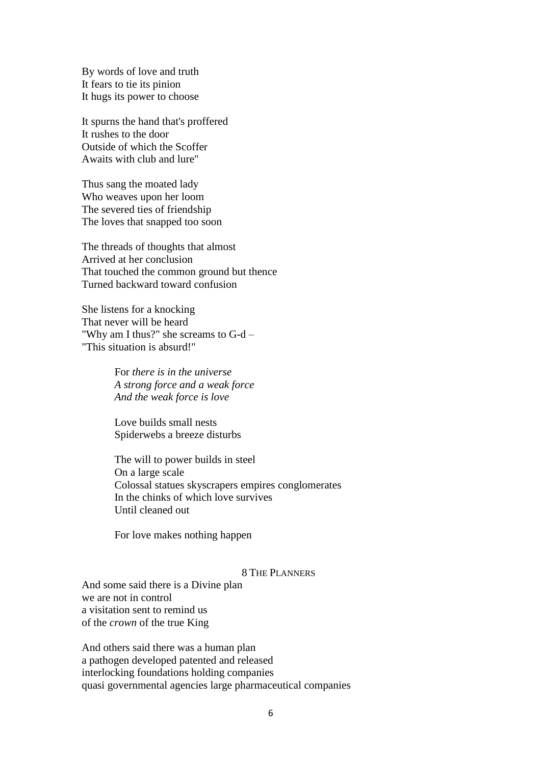By words of love and truth It fears to tie its pinion It hugs its power to choose

It spurns the hand that's proffered It rushes to the door Outside of which the Scoffer Awaits with club and lure"

Thus sang the moated lady Who weaves upon her loom The severed ties of friendship The loves that snapped too soon

The threads of thoughts that almost Arrived at her conclusion That touched the common ground but thence Turned backward toward confusion

She listens for a knocking That never will be heard "Why am I thus?" she screams to G-d – "This situation is absurd!"

> For *there is in the universe A strong force and a weak force And the weak force is love*

Love builds small nests Spiderwebs a breeze disturbs

The will to power builds in steel On a large scale Colossal statues skyscrapers empires conglomerates In the chinks of which love survives Until cleaned out

For love makes nothing happen

### 8 THE PLANNERS

And some said there is a Divine plan we are not in control a visitation sent to remind us of the *crown* of the true King

And others said there was a human plan a pathogen developed patented and released interlocking foundations holding companies quasi governmental agencies large pharmaceutical companies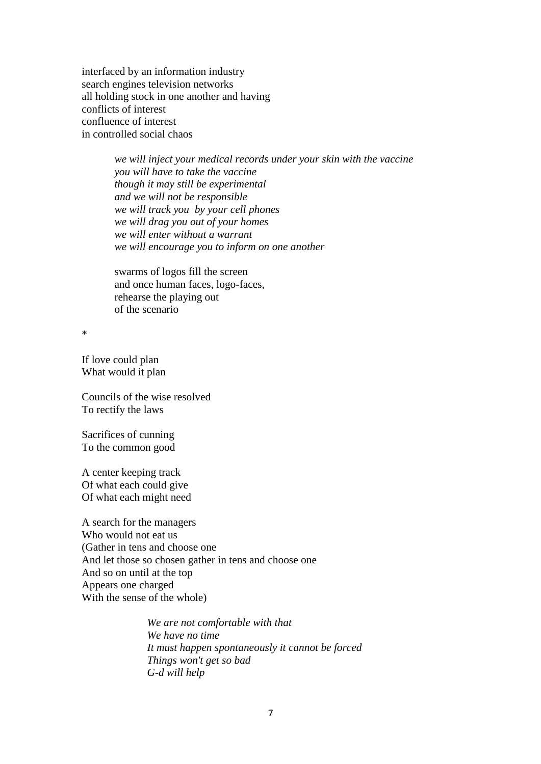interfaced by an information industry search engines television networks all holding stock in one another and having conflicts of interest confluence of interest in controlled social chaos

> *we will inject your medical records under your skin with the vaccine you will have to take the vaccine though it may still be experimental and we will not be responsible we will track you by your cell phones we will drag you out of your homes we will enter without a warrant we will encourage you to inform on one another*

swarms of logos fill the screen and once human faces, logo-faces, rehearse the playing out of the scenario

\*

If love could plan What would it plan

Councils of the wise resolved To rectify the laws

Sacrifices of cunning To the common good

A center keeping track Of what each could give Of what each might need

A search for the managers Who would not eat us (Gather in tens and choose one And let those so chosen gather in tens and choose one And so on until at the top Appears one charged With the sense of the whole)

> *We are not comfortable with that We have no time It must happen spontaneously it cannot be forced Things won't get so bad G-d will help*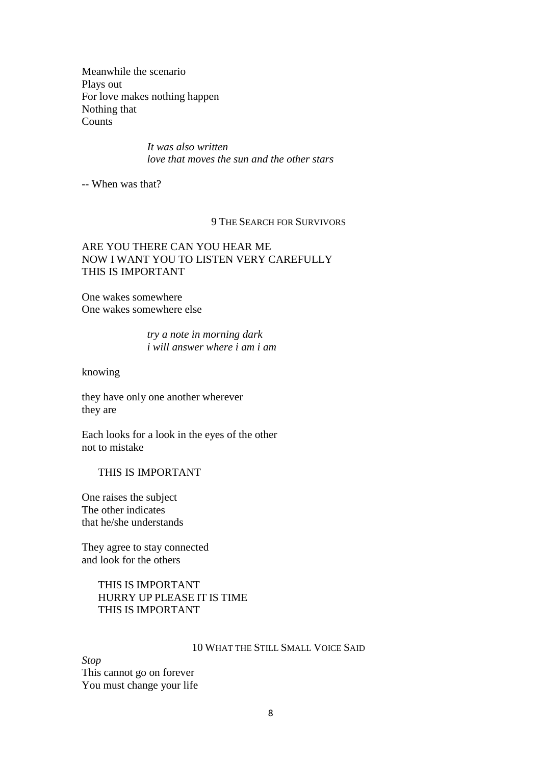Meanwhile the scenario Plays out For love makes nothing happen Nothing that **Counts** 

> *It was also written love that moves the sun and the other stars*

-- When was that?

### 9 THE SEARCH FOR SURVIVORS

## ARE YOU THERE CAN YOU HEAR ME NOW I WANT YOU TO LISTEN VERY CAREFULLY THIS IS IMPORTANT

One wakes somewhere One wakes somewhere else

> *try a note in morning dark i will answer where i am i am*

knowing

they have only one another wherever they are

Each looks for a look in the eyes of the other not to mistake

## THIS IS IMPORTANT

One raises the subject The other indicates that he/she understands

They agree to stay connected and look for the others

# THIS IS IMPORTANT HURRY UP PLEASE IT IS TIME THIS IS IMPORTANT

#### 10 WHAT THE STILL SMALL VOICE SAID

*Stop* This cannot go on forever You must change your life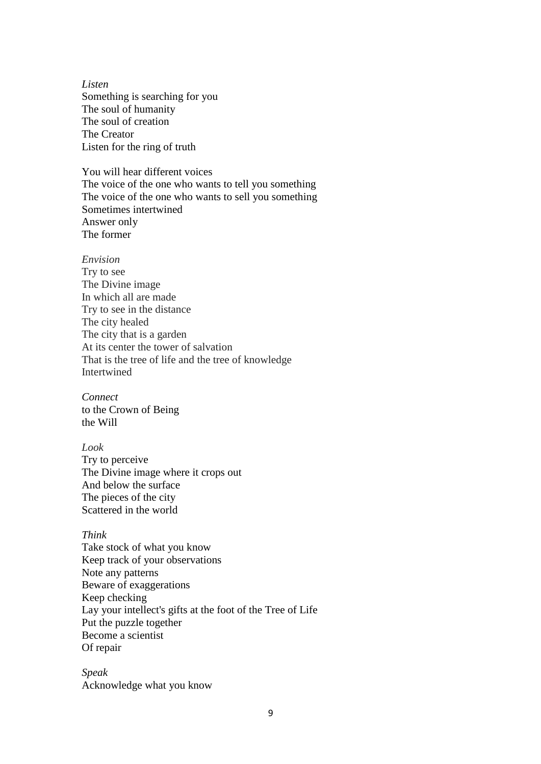*Listen* Something is searching for you The soul of humanity The soul of creation The Creator Listen for the ring of truth

You will hear different voices The voice of the one who wants to tell you something The voice of the one who wants to sell you something Sometimes intertwined Answer only The former

#### *Envision*

Try to see The Divine image In which all are made Try to see in the distance The city healed The city that is a garden At its center the tower of salvation That is the tree of life and the tree of knowledge Intertwined

*Connect* to the Crown of Being the Will

## *Look*

Try to perceive The Divine image where it crops out And below the surface The pieces of the city Scattered in the world

### *Think*

Take stock of what you know Keep track of your observations Note any patterns Beware of exaggerations Keep checking Lay your intellect's gifts at the foot of the Tree of Life Put the puzzle together Become a scientist Of repair

*Speak* Acknowledge what you know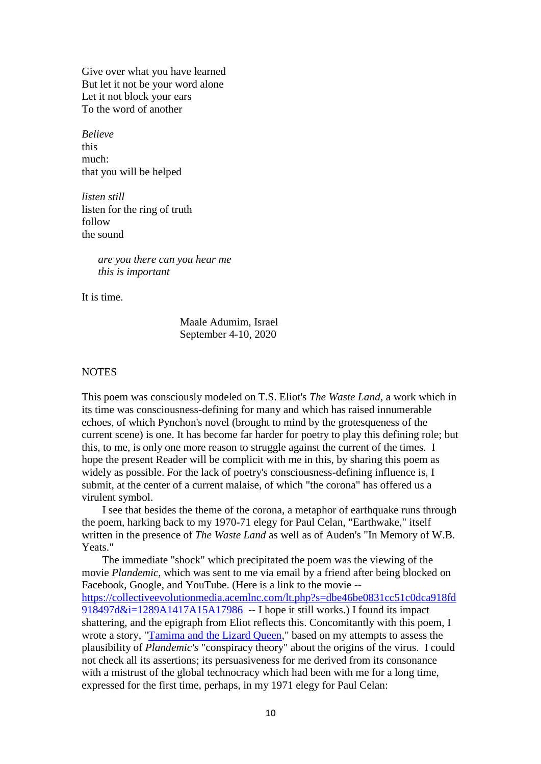Give over what you have learned But let it not be your word alone Let it not block your ears To the word of another

*Believe* this much: that you will be helped

*listen still* listen for the ring of truth follow the sound

> *are you there can you hear me this is important*

It is time.

Maale Adumim, Israel September 4-10, 2020

### **NOTES**

This poem was consciously modeled on T.S. Eliot's *The Waste Land,* a work which in its time was consciousness-defining for many and which has raised innumerable echoes, of which Pynchon's novel (brought to mind by the grotesqueness of the current scene) is one. It has become far harder for poetry to play this defining role; but this, to me, is only one more reason to struggle against the current of the times. I hope the present Reader will be complicit with me in this, by sharing this poem as widely as possible. For the lack of poetry's consciousness-defining influence is, I submit, at the center of a current malaise, of which "the corona" has offered us a virulent symbol.

I see that besides the theme of the corona, a metaphor of earthquake runs through the poem, harking back to my 1970-71 elegy for Paul Celan, "Earthwake," itself written in the presence of *The Waste Land* as well as of Auden's "In Memory of W.B. Yeats."

The immediate "shock" which precipitated the poem was the viewing of the movie *Plandemic,* which was sent to me via email by a friend after being blocked on Facebook, Google, and YouTube. (Here is a link to the movie - [https://collectiveevolutionmedia.acemlnc.com/lt.php?s=dbe46be0831cc51c0dca918fd](https://collectiveevolutionmedia.acemlnc.com/lt.php?s=dbe46be0831cc51c0dca918fd918497d&i=1289A1417A15A17986%20) 918497d $&i=1289A1417A15A17986 - I$  hope it still works.) I found its impact shattering, and the epigraph from Eliot reflects this. Concomitantly with this poem, I wrote a story, ["Tamima and the Lizard Queen,](http://www.derondareview.org/tamima.pdf)" based on my attempts to assess the plausibility of *Plandemic's* "conspiracy theory" about the origins of the virus. I could not check all its assertions; its persuasiveness for me derived from its consonance with a mistrust of the global technocracy which had been with me for a long time, expressed for the first time, perhaps, in my 1971 elegy for Paul Celan: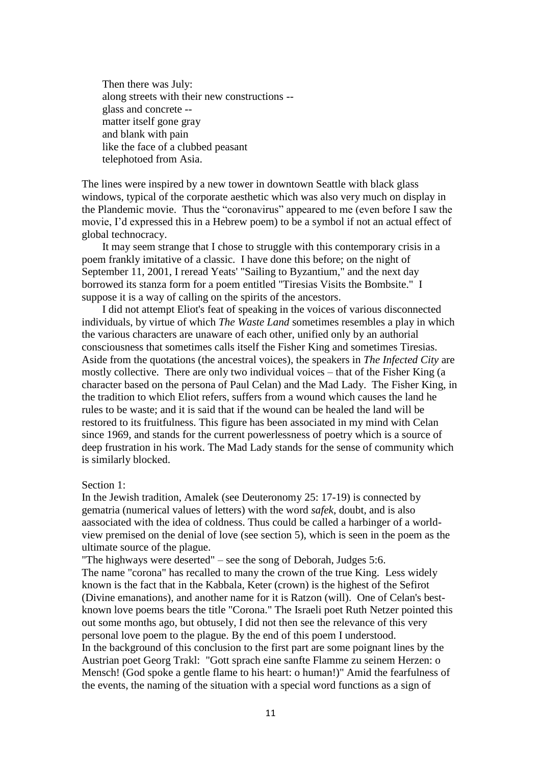Then there was July: along streets with their new constructions - glass and concrete - matter itself gone gray and blank with pain like the face of a clubbed peasant telephotoed from Asia.

The lines were inspired by a new tower in downtown Seattle with black glass windows, typical of the corporate aesthetic which was also very much on display in the Plandemic movie. Thus the "coronavirus" appeared to me (even before I saw the movie, I'd expressed this in a Hebrew poem) to be a symbol if not an actual effect of global technocracy.

It may seem strange that I chose to struggle with this contemporary crisis in a poem frankly imitative of a classic. I have done this before; on the night of September 11, 2001, I reread Yeats' "Sailing to Byzantium," and the next day borrowed its stanza form for a poem entitled "Tiresias Visits the Bombsite." I suppose it is a way of calling on the spirits of the ancestors.

I did not attempt Eliot's feat of speaking in the voices of various disconnected individuals, by virtue of which *The Waste Land* sometimes resembles a play in which the various characters are unaware of each other, unified only by an authorial consciousness that sometimes calls itself the Fisher King and sometimes Tiresias. Aside from the quotations (the ancestral voices), the speakers in *The Infected City* are mostly collective. There are only two individual voices – that of the Fisher King (a character based on the persona of Paul Celan) and the Mad Lady. The Fisher King, in the tradition to which Eliot refers, suffers from a wound which causes the land he rules to be waste; and it is said that if the wound can be healed the land will be restored to its fruitfulness. This figure has been associated in my mind with Celan since 1969, and stands for the current powerlessness of poetry which is a source of deep frustration in his work. The Mad Lady stands for the sense of community which is similarly blocked.

#### Section 1:

In the Jewish tradition, Amalek (see Deuteronomy 25: 17-19) is connected by gematria (numerical values of letters) with the word *safek*, doubt, and is also aassociated with the idea of coldness. Thus could be called a harbinger of a worldview premised on the denial of love (see section 5), which is seen in the poem as the ultimate source of the plague.

"The highways were deserted" – see the song of Deborah, Judges 5:6. The name "corona" has recalled to many the crown of the true King. Less widely known is the fact that in the Kabbala, Keter (crown) is the highest of the Sefirot (Divine emanations), and another name for it is Ratzon (will). One of Celan's bestknown love poems bears the title "Corona." The Israeli poet Ruth Netzer pointed this out some months ago, but obtusely, I did not then see the relevance of this very personal love poem to the plague. By the end of this poem I understood. In the background of this conclusion to the first part are some poignant lines by the Austrian poet Georg Trakl: "Gott sprach eine sanfte Flamme zu seinem Herzen: o Mensch! (God spoke a gentle flame to his heart: o human!)" Amid the fearfulness of the events, the naming of the situation with a special word functions as a sign of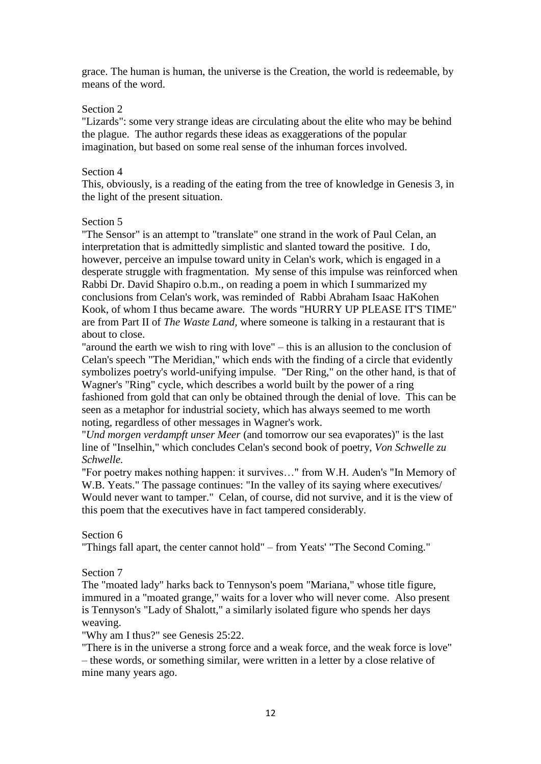grace. The human is human, the universe is the Creation, the world is redeemable, by means of the word.

## Section 2

"Lizards": some very strange ideas are circulating about the elite who may be behind the plague. The author regards these ideas as exaggerations of the popular imagination, but based on some real sense of the inhuman forces involved.

## Section 4

This, obviously, is a reading of the eating from the tree of knowledge in Genesis 3, in the light of the present situation.

# Section 5

"The Sensor" is an attempt to "translate" one strand in the work of Paul Celan, an interpretation that is admittedly simplistic and slanted toward the positive. I do, however, perceive an impulse toward unity in Celan's work, which is engaged in a desperate struggle with fragmentation. My sense of this impulse was reinforced when Rabbi Dr. David Shapiro o.b.m., on reading a poem in which I summarized my conclusions from Celan's work, was reminded of Rabbi Abraham Isaac HaKohen Kook, of whom I thus became aware. The words "HURRY UP PLEASE IT'S TIME" are from Part II of *The Waste Land,* where someone is talking in a restaurant that is about to close.

"around the earth we wish to ring with love" – this is an allusion to the conclusion of Celan's speech "The Meridian," which ends with the finding of a circle that evidently symbolizes poetry's world-unifying impulse. "Der Ring," on the other hand, is that of Wagner's "Ring" cycle, which describes a world built by the power of a ring fashioned from gold that can only be obtained through the denial of love. This can be seen as a metaphor for industrial society, which has always seemed to me worth noting, regardless of other messages in Wagner's work.

"*Und morgen verdampft unser Meer* (and tomorrow our sea evaporates)" is the last line of "Inselhin," which concludes Celan's second book of poetry, *Von Schwelle zu Schwelle.*

"For poetry makes nothing happen: it survives…" from W.H. Auden's "In Memory of W.B. Yeats." The passage continues: "In the valley of its saying where executives/ Would never want to tamper." Celan, of course, did not survive, and it is the view of this poem that the executives have in fact tampered considerably.

# Section 6

"Things fall apart, the center cannot hold" – from Yeats' "The Second Coming."

# Section 7

The "moated lady" harks back to Tennyson's poem "Mariana," whose title figure, immured in a "moated grange," waits for a lover who will never come. Also present is Tennyson's "Lady of Shalott," a similarly isolated figure who spends her days weaving.

"Why am I thus?" see Genesis 25:22.

"There is in the universe a strong force and a weak force, and the weak force is love" – these words, or something similar, were written in a letter by a close relative of mine many years ago.